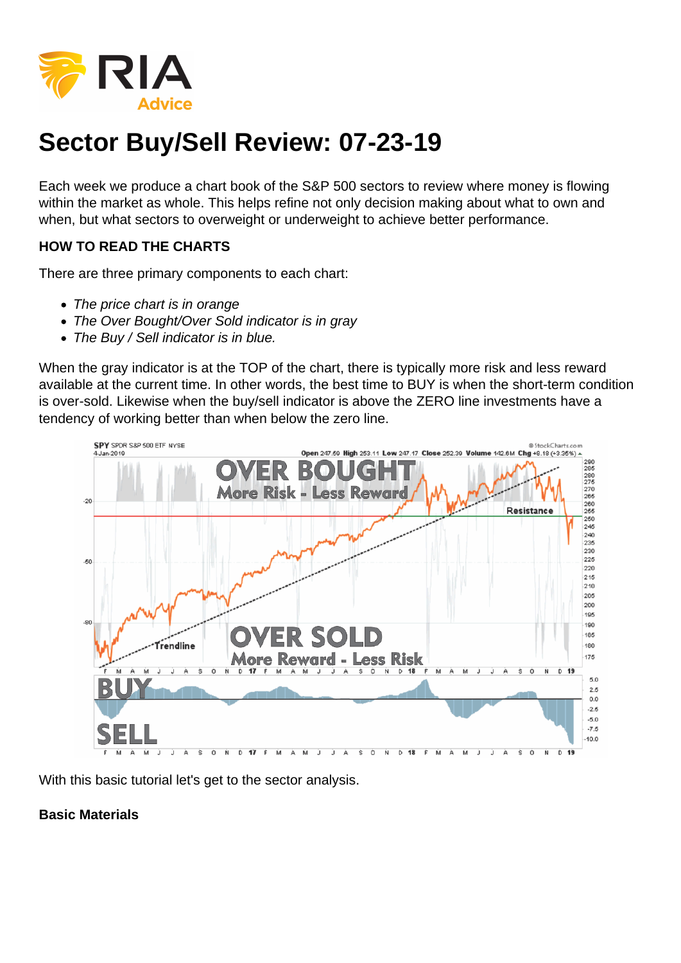## Sector Buy/Sell Review: 07-23-19

Each week we produce a chart book of the S&P 500 sectors to review where money is flowing within the market as whole. This helps refine not only decision making about what to own and when, but what sectors to overweight or underweight to achieve better performance.

HOW TO READ THE CHARTS

There are three primary components to each chart:

- The price chart is in orange
- The Over Bought/Over Sold indicator is in gray
- The Buy / Sell indicator is in blue.

When the gray indicator is at the TOP of the chart, there is typically more risk and less reward available at the current time. In other words, the best time to BUY is when the short-term condition is over-sold. Likewise when the buy/sell indicator is above the ZERO line investments have a tendency of working better than when below the zero line.

With this basic tutorial let's get to the sector analysis.

Basic Materials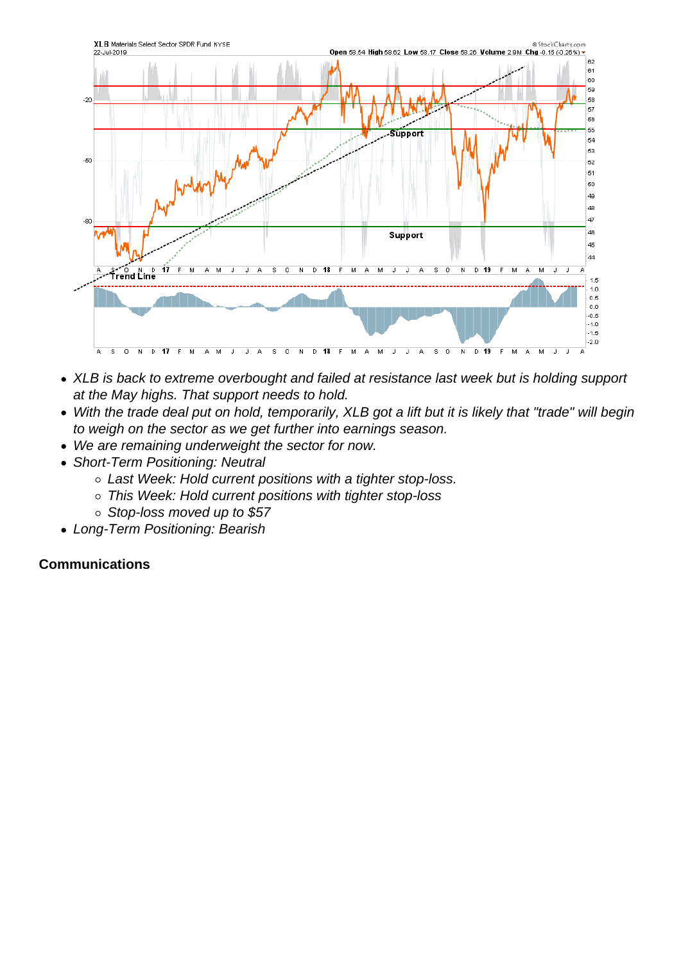- XLB is back to extreme overbought and failed at resistance last week but is holding support at the May highs. That support needs to hold.
- With the trade deal put on hold, temporarily, XLB got a lift but it is likely that "trade" will begin to weigh on the sector as we get further into earnings season.
- We are remaining underweight the sector for now.
- Short-Term Positioning: Neutral
	- Last Week: Hold current positions with a tighter stop-loss.
	- This Week: Hold current positions with tighter stop-loss
	- o Stop-loss moved up to \$57
- Long-Term Positioning: Bearish

**Communications**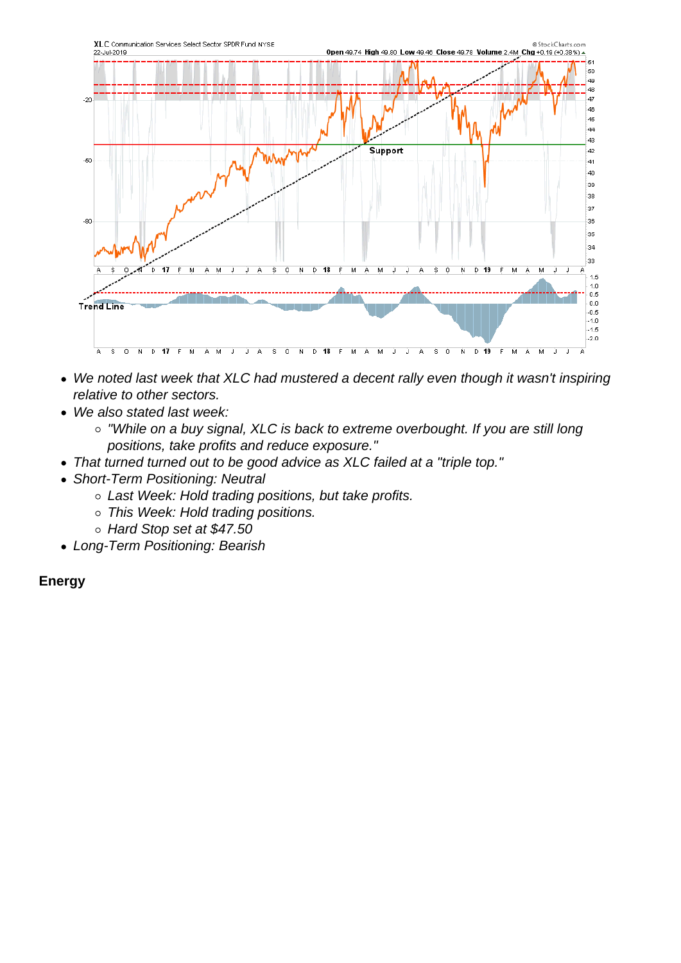- We noted last week that XLC had mustered a decent rally even though it wasn't inspiring relative to other sectors.
- We also stated last week:
	- o "While on a buy signal, XLC is back to extreme overbought. If you are still long positions, take profits and reduce exposure."
- That turned turned out to be good advice as XLC failed at a "triple top."
- Short-Term Positioning: Neutral
	- Last Week: Hold trading positions, but take profits.
	- o This Week: Hold trading positions.
	- o Hard Stop set at \$47.50
- Long-Term Positioning: Bearish

Energy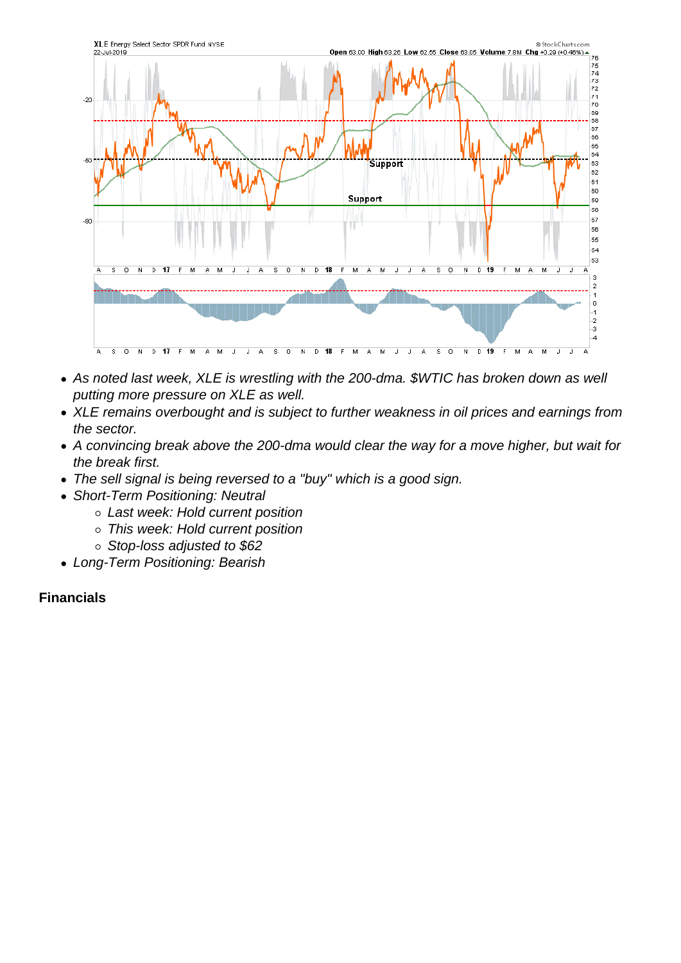- As noted last week, XLE is wrestling with the 200-dma. \$WTIC has broken down as well putting more pressure on XLE as well.
- XLE remains overbought and is subject to further weakness in oil prices and earnings from the sector.
- A convincing break above the 200-dma would clear the way for a move higher, but wait for the break first.
- The sell signal is being reversed to a "buy" which is a good sign.
- Short-Term Positioning: Neutral
	- Last week: Hold current position
	- This week: Hold current position
	- Stop-loss adjusted to \$62
- Long-Term Positioning: Bearish

Financials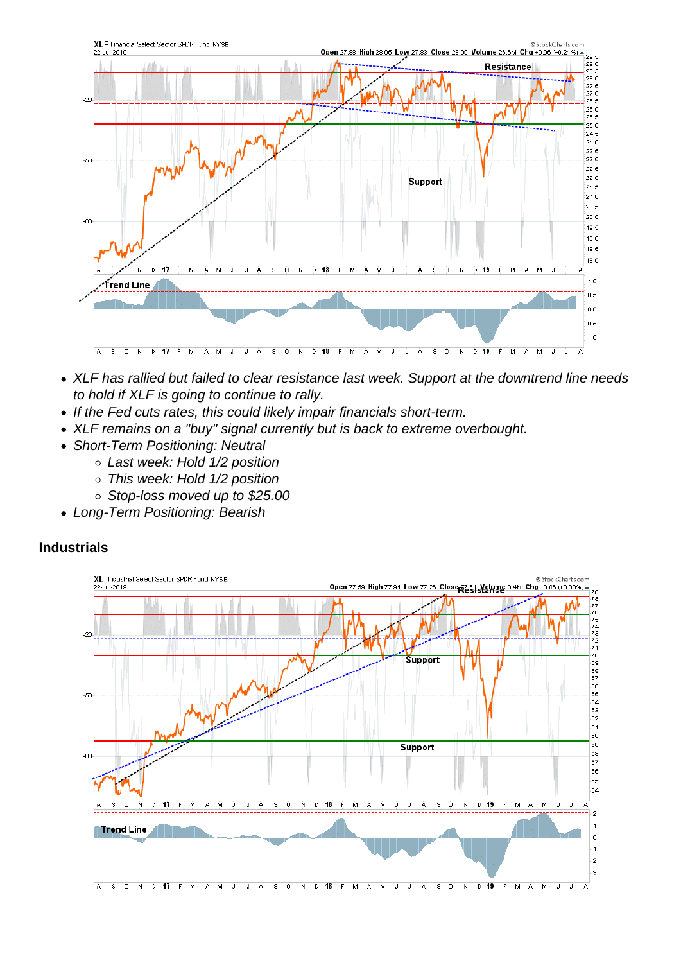- XLF has rallied but failed to clear resistance last week. Support at the downtrend line needs to hold if XLF is going to continue to rally.
- If the Fed cuts rates, this could likely impair financials short-term.
- XLF remains on a "buy" signal currently but is back to extreme overbought.
- Short-Term Positioning: Neutral
	- Last week: Hold 1/2 position
	- This week: Hold 1/2 position
	- Stop-loss moved up to \$25.00
- Long-Term Positioning: Bearish

Industrials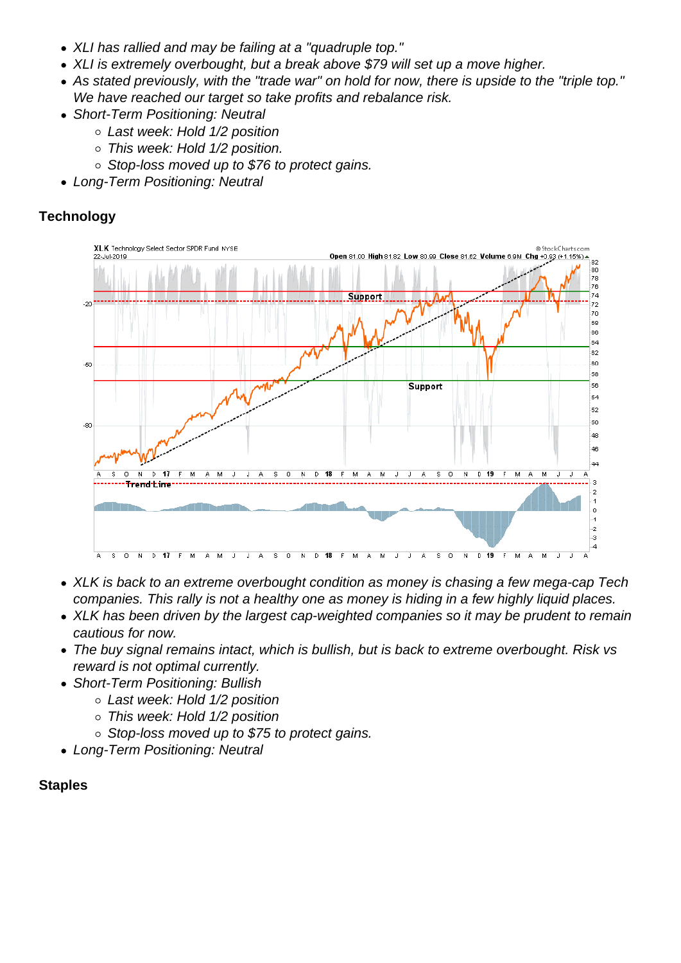- XLI has rallied and may be failing at a "quadruple top."
- XLI is extremely overbought, but a break above \$79 will set up a move higher.
- As stated previously, with the "trade war" on hold for now, there is upside to the "triple top." We have reached our target so take profits and rebalance risk.
- Short-Term Positioning: Neutral
	- Last week: Hold 1/2 position
	- This week: Hold 1/2 position.
	- $\circ$  Stop-loss moved up to \$76 to protect gains.
- Long-Term Positioning: Neutral

**Technology** 

- XLK is back to an extreme overbought condition as money is chasing a few mega-cap Tech companies. This rally is not a healthy one as money is hiding in a few highly liquid places.
- XLK has been driven by the largest cap-weighted companies so it may be prudent to remain cautious for now.
- The buy signal remains intact, which is bullish, but is back to extreme overbought. Risk vs reward is not optimal currently.
- Short-Term Positioning: Bullish
	- Last week: Hold 1/2 position
	- This week: Hold 1/2 position
	- $\circ$  Stop-loss moved up to \$75 to protect gains.
- Long-Term Positioning: Neutral

**Staples**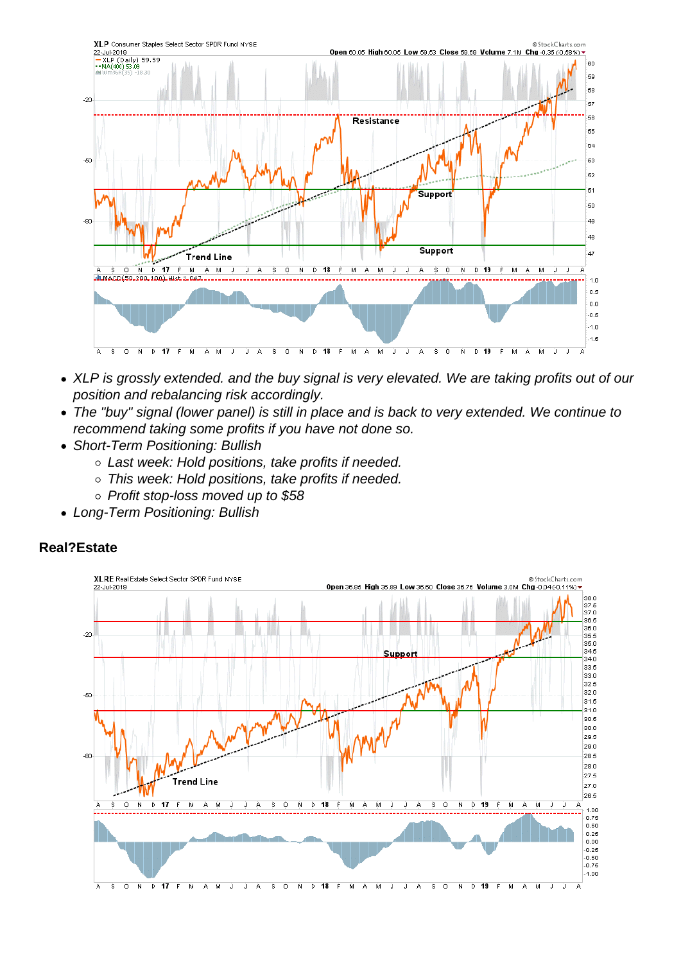- XLP is grossly extended. and the buy signal is very elevated. We are taking profits out of our position and rebalancing risk accordingly.
- The "buy" signal (lower panel) is still in place and is back to very extended. We continue to recommend taking some profits if you have not done so.
- Short-Term Positioning: Bullish
	- Last week: Hold positions, take profits if needed.
	- This week: Hold positions, take profits if needed.
	- Profit stop-loss moved up to \$58
- Long-Term Positioning: Bullish

Real?Estate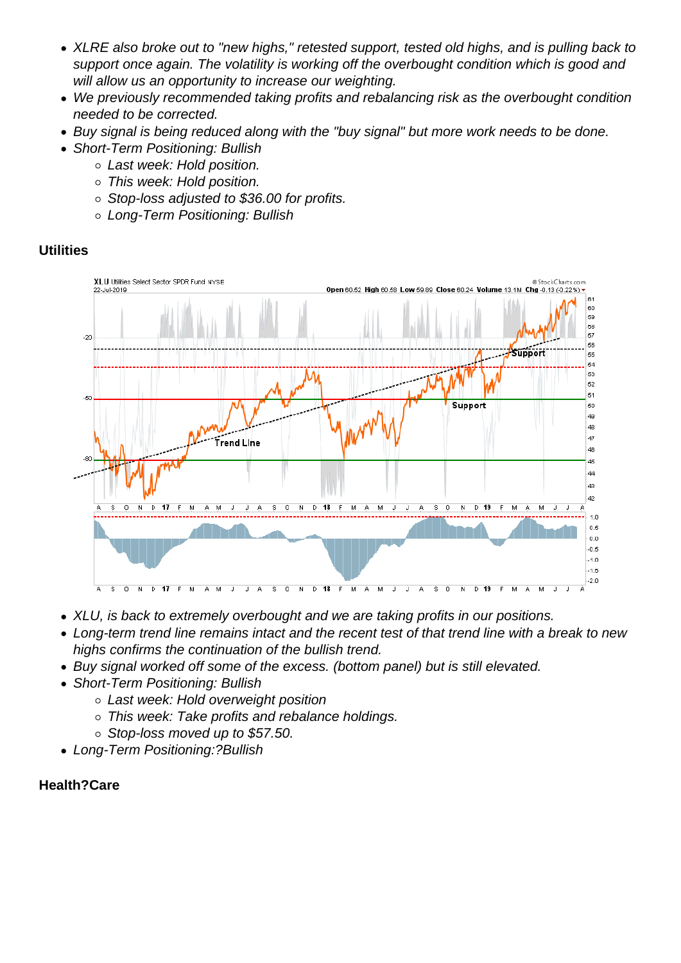- XLRE also broke out to "new highs," retested support, tested old highs, and is pulling back to support once again. The volatility is working off the overbought condition which is good and will allow us an opportunity to increase our weighting.
- We previously recommended taking profits and rebalancing risk as the overbought condition needed to be corrected.
- Buy signal is being reduced along with the "buy signal" but more work needs to be done.
- Short-Term Positioning: Bullish
	- Last week: Hold position.
	- This week: Hold position.
	- Stop-loss adjusted to \$36.00 for profits.
	- Long-Term Positioning: Bullish

## **Utilities**

- XLU, is back to extremely overbought and we are taking profits in our positions.
- Long-term trend line remains intact and the recent test of that trend line with a break to new highs confirms the continuation of the bullish trend.
- Buy signal worked off some of the excess. (bottom panel) but is still elevated.
- Short-Term Positioning: Bullish
	- Last week: Hold overweight position
	- This week: Take profits and rebalance holdings.
	- $\circ$  Stop-loss moved up to \$57.50.
- Long-Term Positioning:?Bullish

Health?Care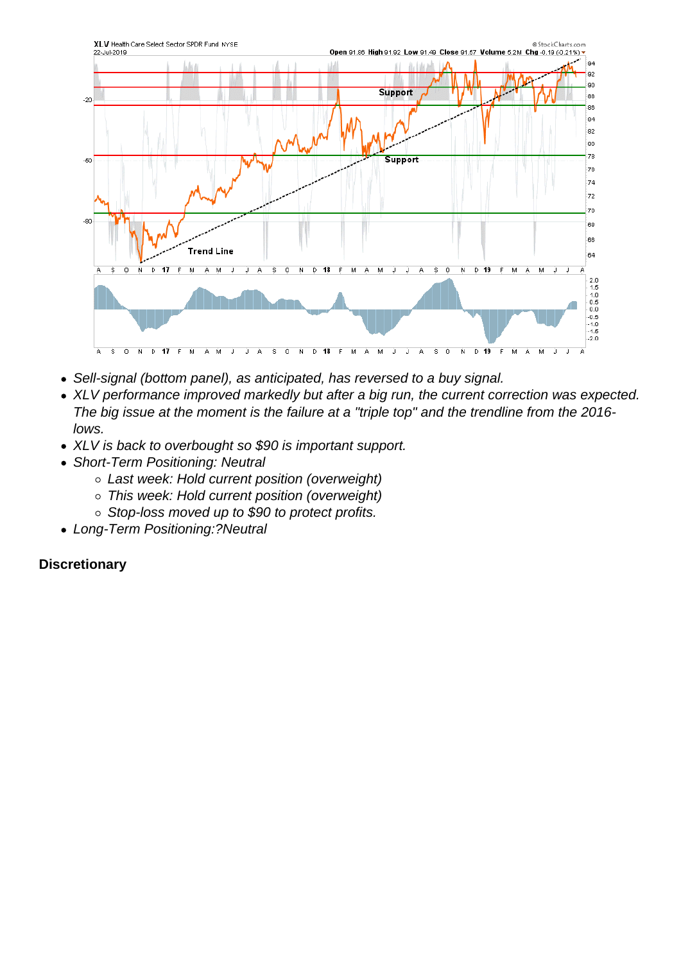- Sell-signal (bottom panel), as anticipated, has reversed to a buy signal.
- XLV performance improved markedly but after a big run, the current correction was expected. The big issue at the moment is the failure at a "triple top" and the trendline from the 2016 lows.
- XLV is back to overbought so \$90 is important support.
- Short-Term Positioning: Neutral
	- Last week: Hold current position (overweight)
	- This week: Hold current position (overweight)
	- o Stop-loss moved up to \$90 to protect profits.
- Long-Term Positioning:?Neutral

**Discretionary**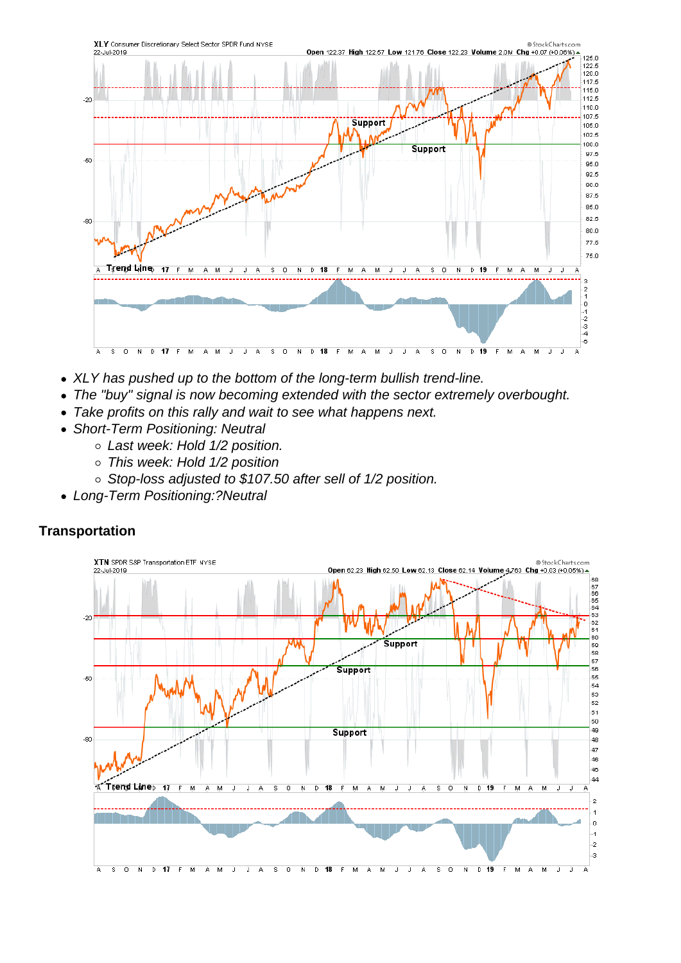- XLY has pushed up to the bottom of the long-term bullish trend-line.
- The "buy" signal is now becoming extended with the sector extremely overbought.
- Take profits on this rally and wait to see what happens next.
- Short-Term Positioning: Neutral
	- Last week: Hold 1/2 position.
	- This week: Hold 1/2 position
	- Stop-loss adjusted to \$107.50 after sell of 1/2 position.
- Long-Term Positioning:?Neutral

**Transportation**